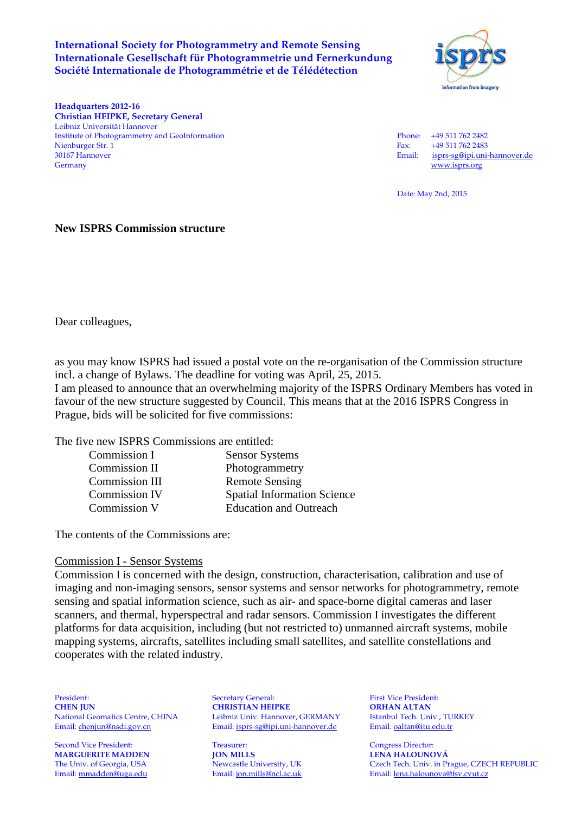### **International Society for Photogrammetry and Remote Sensing Internationale Gesellschaft für Photogrammetrie und Fernerkundung Société Internationale de Photogrammétrie et de Télédétection**



**Headquarters 2012-16 Christian HEIPKE, Secretary General**  Leibniz Universität Hannover Institute of Photogrammetry and GeoInformation Phone: +49 511 762 2482 Nienburger Str. 1 Fax: +49 511 762 2483<br>
30167 Hannover Email: isprs-se@ipi.uni 30167 Hannover Email: isprs-sg@ipi.uni-hannover.de

www.isprs.org

Date: May 2nd, 2015

## **New ISPRS Commission structure**

Dear colleagues,

as you may know ISPRS had issued a postal vote on the re-organisation of the Commission structure incl. a change of Bylaws. The deadline for voting was April, 25, 2015. I am pleased to announce that an overwhelming majority of the ISPRS Ordinary Members has voted in

favour of the new structure suggested by Council. This means that at the 2016 ISPRS Congress in Prague, bids will be solicited for five commissions:

The five new ISPRS Commissions are entitled:

| Commission I         | <b>Sensor Systems</b>              |
|----------------------|------------------------------------|
| Commission II        | Photogrammetry                     |
| Commission III       | <b>Remote Sensing</b>              |
| <b>Commission IV</b> | <b>Spatial Information Science</b> |
| Commission V         | <b>Education and Outreach</b>      |
|                      |                                    |

The contents of the Commissions are:

#### Commission I - Sensor Systems

Commission I is concerned with the design, construction, characterisation, calibration and use of imaging and non-imaging sensors, sensor systems and sensor networks for photogrammetry, remote sensing and spatial information science, such as air- and space-borne digital cameras and laser scanners, and thermal, hyperspectral and radar sensors. Commission I investigates the different platforms for data acquisition, including (but not restricted to) unmanned aircraft systems, mobile mapping systems, aircrafts, satellites including small satellites, and satellite constellations and cooperates with the related industry.

Second Vice President: Treasurer: Treasurer: Congress Director: Congress Director: Congress Director: Treasurer: Congress Director: Congress Director: Treasurer: Treasurer: Congress Director: Treasurer: Treasurer: Treasure **MARGUERITE MADDEN** 

President: Secretary General: First Vice President: **CHEN JUN**<br> **CHRISTIAN HEIPKE ORHAN ALTAN**<br> **CHRISTIAN HEIPKE ORHAN ALTAN**<br> **CHRISTIAN LEAD COREMANY** Istanbul Tech. Univ., TURKEY National Geomatics Centre, CHINA Leibniz Univ. Hannover, GERMANY Istanbul Tech. Univ., TU<br>
Email: chenjun@nsdi.gov.cn Email: isprs-sg@ipi.uni-hannover.de Email: oaltan@itu.edu.tr Email: chenjun@nsdi.gov.cn Email: isprs-sg@ipi.uni-hannover.de

The Univ. of Georgia, USA Newcastle University, UK Czech Tech. Univ. in Prague, CZECH REPUBLIC<br>
Email: <u>ion.mills@ncl.ac.uk</u> Email: <u>Ion.halounova@fsv.cvut.cz</u> Email: lena.halounova@fsv.cvut.cz